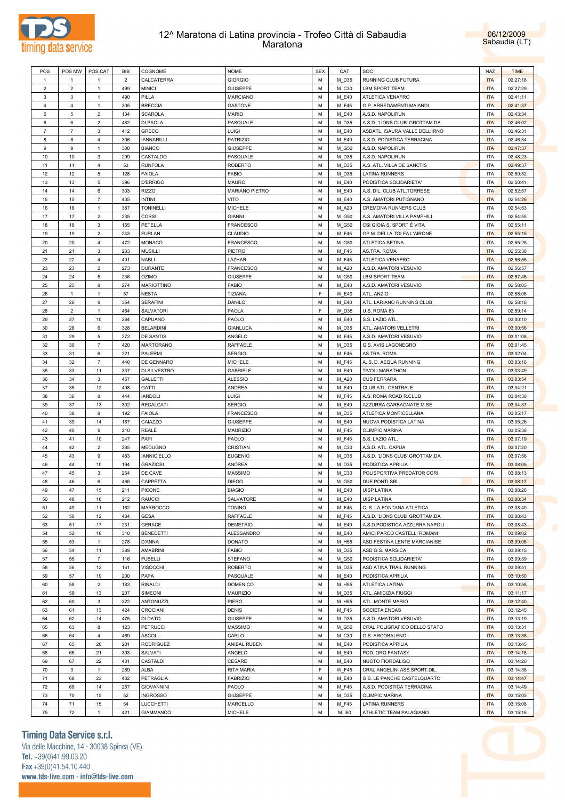



| POS            | POS MW         | POS CAT          | <b>BIB</b>     | COGNOME            | <b>NOME</b>      | <b>SEX</b>  | CAT          | SOC                            | <b>NAZ</b> | <b>TIME</b> |
|----------------|----------------|------------------|----------------|--------------------|------------------|-------------|--------------|--------------------------------|------------|-------------|
| $\mathbf{1}$   | $\mathbf{1}$   | $\overline{1}$   | $\overline{2}$ | CALCATERRA         | <b>GIORGIO</b>   | M           | M D35        | RUNNING CLUB FUTURA            | <b>ITA</b> | 02:27:18    |
| $\overline{2}$ | $\overline{2}$ | $\overline{1}$   | 499            | <b>MINICI</b>      | <b>GIUSEPPE</b>  | M           | M_C30        | <b>LBM SPORT TEAM</b>          | <b>ITA</b> | 02:27:29    |
| 3              | 3              | $\mathbf{1}$     | 490            | PILLA              | MARCIANO         | M           | M_E40        | ATLETICA VENAFRO               | <b>ITA</b> | 02:41:11    |
| $\overline{4}$ | $\overline{4}$ | $\mathbf{1}$     | 305            | <b>BRECCIA</b>     | <b>GASTONE</b>   | M           | M_F45        | G.P. ARREDAMENTI MAIANDI       | <b>ITA</b> | 02:41:37    |
| 5              | 5              | $\overline{2}$   | 134            | <b>SCAROLA</b>     | <b>MARIO</b>     | M           | M_E40        | A.S.D. NAPOLIRUN               | <b>ITA</b> | 02:43:34    |
| 6              | 6              | $\overline{2}$   | 482            | DI PAOLA           | PASQUALE         | M           | M D35        | A.S.D. 'LIONS CLUB' GROTTAM.DA | <b>ITA</b> | 02:46:02    |
| $\overline{7}$ | $\overline{7}$ | 3                | 412            | <b>GRECO</b>       | LUIGI            | M           | M_E40        | ASDATL. ISAURA VALLE DELL'IRNO | <b>ITA</b> | 02:46:31    |
| 8              | 8              | $\overline{4}$   | 306            | <b>IANNARILLI</b>  | <b>PATRIZIO</b>  | M           | M_E40        | A.S.D. PODISTICA TERRACINA     | <b>ITA</b> | 02:46:34    |
| 9              | 9              | $\mathbf{1}$     | 300            | <b>BIANCO</b>      | <b>GIUSEPPE</b>  | M           | M_G50        | A.S.D. NAPOLIRUN               | <b>ITA</b> | 02:47:37    |
| 10             | 10             | $\mathbf{3}$     | 299            | CASTALDO           | PASQUALE         | M           | M D35        | A.S.D. NAPOLIRUN               | <b>ITA</b> | 02:48:23    |
| 11             | 11             | $\overline{4}$   | 53             | <b>RUNFOLA</b>     | <b>ROBERTO</b>   | M           | M D35        | A.S. ATL. VILLA DE SANCTIS     | <b>ITA</b> | 02:49:37    |
| 12             | 12             | $\,$ 5 $\,$      | 128            | <b>FAIOLA</b>      | <b>FABIO</b>     | M           | M_D35        | <b>LATINA RUNNERS</b>          | <b>ITA</b> | 02:50:32    |
| 13             | 13             | 5                | 396            | <b>D'ERRIGO</b>    | <b>MAURO</b>     | M           | M_E40        | PODISTICA SOLIDARIETA'         | <b>ITA</b> | 02:50:41    |
| 14             | 14             | 6                | 303            | <b>RIZZO</b>       | MARIANO PIETRO   | M           | M_E40        | A.S. DIL. CLUB ATL.TORRESE     | <b>ITA</b> | 02:52:57    |
| 15             | 15             | $\overline{7}$   | 435            | <b>INTINI</b>      | <b>VITO</b>      | M           | M_E40        | A.S. AMATORI PUTIGNANO         | <b>ITA</b> | 02:54:26    |
|                | 16             | $\mathbf{1}$     | 387            | <b>TONINELLI</b>   |                  | M           |              | CREMONA RUNNERS CLUB           | <b>ITA</b> |             |
| 16             |                |                  |                |                    | MICHELE          |             | M_A20        |                                |            | 02:54:53    |
| 17             | 17             | $\overline{2}$   | 235            | <b>CORSI</b>       | <b>GIANNI</b>    | M           | M_G50        | A.S. AMATORI VILLA PAMPHILI    | <b>ITA</b> | 02:54:55    |
| 18             | 18             | $\mathbf{3}$     | 155            | PETELLA            | <b>FRANCESCO</b> | M           | M_G50        | CSI GIOIA S. SPORT È VITA      | <b>ITA</b> | 02:55:11    |
| 19             | 19             | $\overline{2}$   | 243            | <b>FURLAN</b>      | CLAUDIO          | M           | M_F45        | GP M. DELLA TOLFA L'AIRONE     | <b>ITA</b> | 02:55:15    |
| 20             | 20             | $\overline{4}$   | 472            | <b>MONACO</b>      | <b>FRANCESCO</b> | M           | M_G50        | <b>ATLETICA SETINA</b>         | <b>ITA</b> | 02:55:25    |
| 21             | 21             | $\mathbf{3}$     | 233            | <b>MUSILLI</b>     | PIETRO           | M           | M_F45        | AS.TRA. ROMA                   | <b>ITA</b> | 02:55:38    |
| 22             | 22             | $\overline{4}$   | 491            | <b>NABLI</b>       | LAZHAR           | M           | M_F45        | ATLETICA VENAFRO               | <b>ITA</b> | 02:56:55    |
| 23             | 23             | $\overline{2}$   | 273            | <b>DURANTE</b>     | <b>FRANCESCO</b> | M           | M_A20        | A.S.D. AMATORI VESUVIO         | <b>ITA</b> | 02:56:57    |
| 24             | 24             | $\,$ 5 $\,$      | 236            | <b>OZIMO</b>       | <b>GIUSEPPE</b>  | M           | M_G50        | <b>LBM SPORT TEAM</b>          | <b>ITA</b> | 02:57:45    |
| 25             | 25             | 8                | 274            | <b>MARIOTTINO</b>  | <b>FABIO</b>     | M           | M_E40        | A.S.D. AMATORI VESUVIO         | <b>ITA</b> | 02:58:05    |
| 26             | $\mathbf{1}$   | $\mathbf{1}$     | 57             | <b>NESTA</b>       | TIZIANA          | E           | <b>W_E40</b> | ATL. ANZIO                     | <b>ITA</b> | 02:58:06    |
| 27             | 26             | 9                | 354            | <b>SERAFINI</b>    | DANILO           | M           | M_E40        | ATL. LARIANO RUNNING CLUB      | <b>ITA</b> | 02:58:16    |
| 28             | $\overline{2}$ | $\mathbf{1}$     | 464            | SALVATORI          | PAOLA            | E           | W_D35        | U.S. ROMA 83                   | <b>ITA</b> | 02:59:14    |
| 29             | 27             | 10               | 284            | CAPUANO            | PAOLO            | M           | M_E40        | S.S. LAZIO ATL                 | <b>ITA</b> | 03:00:10    |
| 30             | 28             | 6                | 328            | <b>BELARDINI</b>   | <b>GIANLUCA</b>  | M           | M D35        | ATL. AMATORI VELLETRI          | <b>ITA</b> | 03:00:56    |
| 31             | 29             | 5                | 272            | DE SANTIS          | ANGELO           | M           | M_F45        | A.S.D. AMATORI VESUVIO         | <b>ITA</b> | 03:01:08    |
| 32             | 30             | $\overline{7}$   | 420            | <b>MARTORANO</b>   | RAFFAELE         | M           | M_D35        | G.S. AVIS LAGONEGRO            | <b>ITA</b> | 03:01:45    |
| 33             | 31             | 6                | 221            | PALERMI            | <b>SERGIO</b>    | M           | M_F45        | AS.TRA. ROMA                   | <b>ITA</b> | 03:02:04    |
| 34             | 32             | $\overline{7}$   | 440            | DE GENNARO         | <b>MICHELE</b>   | M           | M_F45        | A. S. D. AEQUA RUNNING         | <b>ITA</b> | 03:03:16    |
| 35             | 33             | 11               | 337            | DI SILVESTRO       | <b>GABRIELE</b>  | M           | M_E40        | <b>TIVOLI MARATHON</b>         | <b>ITA</b> | 03:03:49    |
| 36             | 34             | $\mathbf{3}$     | 457            | GALLETTI           | <b>ALESSIO</b>   | M           | M_A20        | <b>CUS FERRARA</b>             | <b>ITA</b> | 03:03:54    |
| 37             | 35             | 12               | 498            | <b>GATTI</b>       | ANDREA           | M           | M_E40        | CLUB ATL. CENTRALE             | <b>ITA</b> | 03:04:21    |
| 38             | 36             | 8                | 444            | <b>IANDOLI</b>     | LUIGI            | M           | M_F45        | A.S. ROMA ROAD R.CLUB          | <b>ITA</b> | 03:04:30    |
| 39             | 37             | 13               | 302            | <b>RECALCATI</b>   | <b>SERGIO</b>    | M           | M_E40        | AZZURRA GARBAGNATE M.SE        | <b>ITA</b> | 03:04:37    |
| 40             | 38             | 8                | 192            | <b>FAIOLA</b>      | <b>FRANCESCO</b> | M           | M_D35        | ATLETICA MONTICELLANA          | <b>ITA</b> | 03:05:17    |
| 41             | 39             | 14               | 167            | CAIAZZO            | <b>GIUSEPPE</b>  | M           | M_E40        | NUOVA PODISTICA LATINA         | <b>ITA</b> | 03:05:26    |
| 42             | 40             | $\boldsymbol{9}$ | 210            | REALE              | MAURIZIO         | M           | M_F45        | <b>OLIMPIC MARINA</b>          | <b>ITA</b> | 03:05:38    |
| 43             | 41             | 10               | 247            | PAPI               | PAOLO            | М           | M_F45        | S.S. LAZIO ATL.                | <b>ITA</b> | 03:07:19    |
| 44             | 42             | $\overline{2}$   | 285            | MEDUGNO            | CRISTIAN         | M           | M_C30        | A.S.D. ATL. CAPUA              | <b>ITA</b> | 03:07:20    |
|                |                |                  |                |                    | <b>EUGENIO</b>   | M           |              |                                |            |             |
| 45             | 43             | 9                | 483            | <b>IANNICIELLO</b> |                  |             | M_D35        | A.S.D. 'LIONS CLUB' GROTTAM.DA | <b>ITA</b> | 03:07:56    |
| 46             | 44             | 10               | 194            | <b>GRAZIOSI</b>    | ANDREA           | M           | M_D35        | PODISTICA APRILIA              | <b>ITA</b> | 03:08:05    |
| 47             | 45             | 3                | 254            | DE CAVE            | MASSIMO          | М           | M_C30        | POLISPORTIVA PREDATOR CORI     | <b>ITA</b> | 03:08:13    |
| 48             | 46             | 6                | 466            | CAPPETTA           | <b>DIEGO</b>     | М           | M_G50        | DUE PONTI SRL                  | <b>ITA</b> | 03:08:17    |
| 49             | 47             | 15               | 211            | PICONE             | <b>BIAGIO</b>    | M           | M E40        | <b>UISP LATINA</b>             | <b>ITA</b> | 03:08:26    |
| 50             | 48             | 16               | 212            | RAUCCI             | SALVATORE        | М           | M_E40        | <b>UISP LATINA</b>             | <b>ITA</b> | 03:08:34    |
| 51             | 49             | 11               | 162            | MARROCCO           | <b>TONINO</b>    | M           | M_F45        | C. S. LA FONTANA ATLETICA      | <b>ITA</b> | 03:08:40    |
| 52             | 50             | 12               | 484            | <b>GESA</b>        | RAFFAELE         | M           | M_F45        | A.S.D. 'LIONS CLUB' GROTTAM.DA | <b>ITA</b> | 03:08:43    |
| 53             | 51             | 17               | 231            | <b>GERACE</b>      | <b>DEMETRIO</b>  | M           | M_E40        | A.S.D.PODISTICA AZZURRA NAPOLI | <b>ITA</b> | 03:08:43    |
| 54             | 52             | 18               | 310            | <b>BENEDETTI</b>   | ALESSANDRO       | M           | M_E40        | AMICI PARCO CASTELLI ROMANI    | <b>ITA</b> | 03:09:02    |
| 55             | 53             | $\mathbf{1}$     | 278            | D'ANNA             | <b>DONATO</b>    | M           | M_H55        | ASD FESTINA LENTE MARCIANISE   | <b>ITA</b> | 03:09:06    |
| 56             | 54             | 11               | 389            | AMABRINI           | FABIO            | M           | M_D35        | ASD G.S. MARSICA               | <b>ITA</b> | 03:09:15    |
| 57             | 55             | $\overline{7}$   | 116            | <b>FUBELLI</b>     | STEFANO          | M           | M_G50        | PODISTICA SOLIDARIETA'         | <b>ITA</b> | 03:09:39    |
| 58             | 56             | 12               | 161            | <b>VISOCCHI</b>    | <b>ROBERTO</b>   | M           | M_D35        | ASD ATINA TRAIL RUNNING        | <b>ITA</b> | 03:09:51    |
| 59             | 57             | 19               | 200            | PAPA               | PASQUALE         | M           | M_E40        | PODISTICA APRILIA              | <b>ITA</b> | 03:10:50    |
| 60             | 58             | $\overline{2}$   | 183            | RINALDI            | <b>DOMENICO</b>  | M           | M_H55        | ATLETICA LATINA                | <b>ITA</b> | 03:10:58    |
| 61             | 59             | 13               | 207            | SIMEONI            | <b>MAURIZIO</b>  | M           | M_D35        | ATL. AMICIZIA FIUGGI           | <b>ITA</b> | 03:11:17    |
| 62             | 60             | $\mathbf{3}$     | 322            | <b>ANTONUZZI</b>   | PIERO            | M           | M_H55        | ATL. MONTE MARIO               | <b>ITA</b> | 03:12:40    |
| 63             | 61             | 13               | 424            | CROCIANI           | <b>DENIS</b>     | M           | M_F45        | SOCIETA ENDAS                  | <b>ITA</b> | 03:12:45    |
| 64             | 62             | 14               | 475            | DI DATO            | <b>GIUSEPPE</b>  | M           | M_D35        | A.S.D. AMATORI VESUVIO         | <b>ITA</b> | 03:13:19    |
| 65             | 63             | 8                | 123            | <b>PETRUCCI</b>    | MASSIMO          | M           | M_G50        | CRAL POLIGRAFICO DELLO STATO   | <b>ITA</b> | 03:13:31    |
| 66             | 64             | $\overline{4}$   | 469            | <b>ASCOLI</b>      | CARLO            | M           | M_C30        | G.S. ARCOBALENO                | <b>ITA</b> | 03:13:38    |
| 67             | 65             | 20               | 201            | <b>RODRIGUEZ</b>   | ANIBAL RUBEN     | M           | M_E40        | PODISTICA APRILIA              | <b>ITA</b> | 03:13:45    |
| 68             | 66             | 21               | 393            | SALVATI            | ANGELO           | M           | M_E40        | POD. ORO FANTASY               | <b>ITA</b> | 03:14:18    |
| 69             | 67             | 22               | 431            | CASTALDI           | CESARE           | M           | M_E40        | NUOTO FIORDALISO               | <b>ITA</b> | 03:14:20    |
|                |                | $\mathbf{1}$     |                |                    |                  | $\mathsf F$ |              |                                |            |             |
| 70             | $\mathbf{3}$   |                  | 289            | ALBA               | RITA MARIA       |             | W_F45        | CRAL ANGELINI ASS.SPORT.DIL.   | <b>ITA</b> | 03:14:38    |
| 71             | 68             | 23               | 432            | PETRAGLIA          | <b>FABRIZIO</b>  | M           | M_E40        | G.S. LE PANCHE CASTELQUARTO    | <b>ITA</b> | 03:14:47    |
| $72\,$         | 69             | 14               | 267            | <b>GIOVANNINI</b>  | PAOLO            | M           | M_F45        | A.S.D. PODISTICA TERRACINA     | <b>ITA</b> | 03:14:49    |
| 73             | 70             | 15               | 52             | <b>INGROSSO</b>    | <b>GIUSEPPE</b>  | M           | M_D35        | <b>OLIMPIC MARINA</b>          | <b>ITA</b> | 03:15:05    |
| ${\bf 74}$     | 71             | 15               | 54             | LUCCHETTI          | MARCELLO         | M           | M_F45        | LATINA RUNNERS                 | <b>ITA</b> | 03:15:08    |
| 75             | 72             | $\mathbf{1}$     | 421            | <b>GIAMMANCO</b>   | MICHELE          | М           | M_I60        | ATHLETIC TEAM PALAGIANO        | <b>ITA</b> | 03:15:16    |

# **Timing Data Service s.r.l.**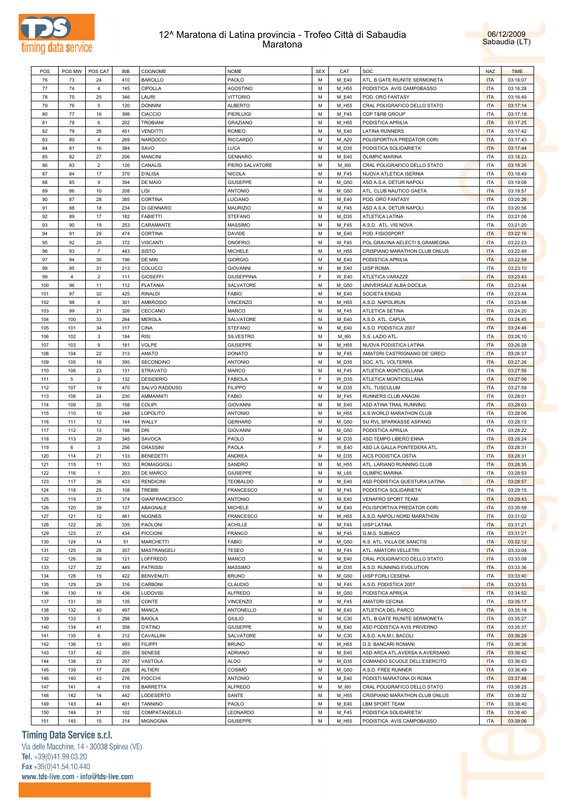



| POS | POS MW         | POS CAT        | BIB | COGNOME              | <b>NOME</b>       | <b>SEX</b> | CAT   | SOC                            | <b>NAZ</b> | <b>TIME</b> |
|-----|----------------|----------------|-----|----------------------|-------------------|------------|-------|--------------------------------|------------|-------------|
| 76  | 73             | 24             | 410 | <b>BAROLLO</b>       | PAOLO             | M          | M E40 | ATL. B.GATE RIUNITE SERMONETA  | <b>ITA</b> | 03:16:07    |
|     |                |                |     |                      |                   |            |       |                                |            |             |
| 77  | 74             | 4              | 145 | CIPOLLA              | <b>AGOSTINO</b>   | м          | M_H55 | PODISTICA AVIS CAMPOBASSO      | <b>ITA</b> | 03:16:28    |
| 78  | 75             | 25             | 346 | LAURI                | <b>VITTORIO</b>   | M          | M_E40 | POD. ORO FANTASY               | <b>ITA</b> | 03:16:49    |
| 79  | 76             | 5              | 120 | <b>DONNINI</b>       | <b>ALBERTO</b>    | М          | M_H55 | CRAL POLIGRAFICO DELLO STATO   | <b>ITA</b> | 03:17:14    |
| 80  | $77 \,$        | 16             | 398 | <b>CIACCIO</b>       | PIERLUIGI         | M          | M F45 | <b>CDP T&amp;RB GROUP</b>      | <b>ITA</b> | 03:17:18    |
| 81  | 78             | 6              | 202 | <b>TROBIANI</b>      | <b>GRAZIANO</b>   | М          | M_H55 | PODISTICA APRILIA              | <b>ITA</b> | 03:17:25    |
| 82  | 79             | 26             | 451 | <b>VENDITTI</b>      | <b>ROMEO</b>      | M          | M E40 | LATINA RUNNERS                 | <b>ITA</b> | 03:17:42    |
| 83  | 80             | 4              | 269 | <b>NARDOCCI</b>      | <b>RICCARDO</b>   | М          | M_A20 | POLISPORTIVA PREDATOR CORI     | <b>ITA</b> | 03:17:43    |
| 84  | 81             | 16             | 384 | SAVO                 | <b>LUCA</b>       | M          | M D35 | PODISTICA SOLIDARIETA'         | <b>ITA</b> | 03:17:44    |
| 85  | 82             | 27             | 206 | <b>MANCINI</b>       | <b>GENNARO</b>    | м          | M_E40 | <b>OLIMPIC MARINA</b>          | ITA        | 03:18:23    |
| 86  | 83             | $\overline{2}$ | 126 | CANALIS              | PIERO SALVATORE   | M          | M 160 | CRAL POLIGRAFICO DELLO STATO   | <b>ITA</b> | 03:18:26    |
|     |                |                |     |                      |                   |            |       |                                |            |             |
| 87  | 84             | 17             | 370 | <b>D'ALISA</b>       | <b>NICOLA</b>     | М          | M_F45 | NUOVA ATLETICA ISERNIA         | ITA        | 03:18:49    |
| 88  | 85             | 9              | 394 | DE MAIO              | <b>GIUSEPPE</b>   | M          | M_G50 | ASD A.S.A. DETUR NAPOLI        | <b>ITA</b> | 03:19:08    |
| 89  | 86             | 10             | 208 | LISI                 | <b>ANTONIO</b>    | м          | M_G50 | ATL. CLUB NAUTICO GAETA        | <b>ITA</b> | 03:19:57    |
| 90  | 87             | 28             | 385 | CORTINA              | LUCIANO           | M          | M E40 | POD. ORO FANTASY               | <b>ITA</b> | 03:20:26    |
| 91  | 88             | 18             | 234 | DI GENNARO           | <b>MAURIZIO</b>   | М          | M_F45 | ASD A.S.A. DETUR NAPOLI        | ITA        | 03:20:56    |
| 92  | 89             | 17             | 182 | <b>FABIETTI</b>      | <b>STEFANO</b>    | M          | M D35 | ATLETICA LATINA                | <b>ITA</b> | 03:21:08    |
| 93  | 90             | 19             | 253 | CARAMANTE            | <b>MASSIMO</b>    | м          | M_F45 | A.S.D. ATL. VIS NOVA           | ITA        | 03:21:20    |
| 94  | 91             | 29             | 474 | CORTINA              | DAVIDE            | M          | M E40 | POD. FISIOSPORT                | <b>ITA</b> | 03:22:16    |
| 95  | 92             | 20             | 372 | <b>VISCANTI</b>      | <b>ONOFRIO</b>    | М          | M_F45 | POL.GRAVINA AELECTI S.GRAMEGNA | <b>ITA</b> | 03:22:23    |
|     |                | $\overline{7}$ |     |                      |                   |            |       |                                |            |             |
| 96  | 93             |                | 443 | <b>SISTO</b>         | MICHELE           | M          | M H55 | CRISPIANO MARATHON CLUB ONLUS  | <b>ITA</b> | 03:22:49    |
| 97  | 94             | 30             | 196 | DE MIN               | <b>GIORGIO</b>    | M          | M_E40 | PODISTICA APRILIA              | <b>ITA</b> | 03:22:58    |
| 98  | 95             | 31             | 213 | COLUCCI              | <b>GIOVANNI</b>   | M          | M_E40 | UISP ROMA                      | <b>ITA</b> | 03:23:10    |
| 99  | $\overline{4}$ | $\overline{2}$ | 111 | <b>GIOSEFFI</b>      | <b>GIUSEPPINA</b> | F          | W_E40 | ATLETICA VARAZZE               | <b>ITA</b> | 03:23:43    |
| 100 | 96             | 11             | 112 | PLATANIA             | SALVATORE         | M          | M_G50 | UNIVERSALE ALBA DOCILIA        | <b>ITA</b> | 03:23:44    |
| 101 | 97             | 32             | 425 | <b>RINALDI</b>       | FABIO             | M          | M_E40 | SOCIETA ENDAS                  | ITA        | 03:23:44    |
| 102 | 98             | 8              | 301 | <b>AMBROSIO</b>      | <b>VINCENZO</b>   | M          | M H55 | A.S.D. NAPOLIRUN               | <b>ITA</b> | 03:23:48    |
| 103 | 99             | 21             | 326 | CECCANO              | MARCO             | м          | M_F45 | <b>ATLETICA SETINA</b>         | <b>ITA</b> | 03:24:20    |
| 104 | 100            | 33             | 264 | <b>MEROLA</b>        | SALVATORE         | M          | M E40 | A.S.D. ATL. CAPUA              | <b>ITA</b> | 03:24:45    |
| 105 | 101            | 34             | 317 | <b>CINA</b>          | <b>STEFANO</b>    | М          | M_E40 | A.S.D. PODISTICA 2007          | <b>ITA</b> | 03:24:46    |
| 106 | 102            | 3              |     | <b>RISI</b>          |                   | M          |       |                                |            | 03:26:10    |
|     |                |                | 184 |                      | <b>SILVESTRO</b>  |            | M_I60 | S.S. LAZIO ATL.                | <b>ITA</b> |             |
| 107 | 103            | 9              | 181 | VOLPE                | <b>GIUSEPPE</b>   | М          | M_H55 | NUOVA PODISTICA LATINA         | <b>ITA</b> | 03:26:28    |
| 108 | 104            | 22             | 313 | AMATO                | <b>DONATO</b>     | M          | M F45 | AMATORI CASTRIGNANO DE' GRECI  | <b>ITA</b> | 03:26:37    |
| 109 | 105            | 18             | 395 | SECONDINO            | <b>ANTONIO</b>    | м          | M_D35 | SOC. ATL. VOLTERRA             | <b>ITA</b> | 03:27:26    |
| 110 | 106            | 23             | 131 | <b>STRAVATO</b>      | <b>MARCO</b>      | M          | M F45 | ATLETICA MONTICELLANA          | <b>ITA</b> | 03:27:56    |
| 111 | 5              | $\overline{2}$ | 132 | <b>DESIDERIO</b>     | <b>FABIOLA</b>    | F          | W_D35 | ATLETICA MONTICELLANA          | <b>ITA</b> | 03:27:56    |
| 112 | 107            | 19             | 470 | SALVO RADDUSO        | <b>FILIPPO</b>    | M          | M D35 | ATL. TUSCULUM                  | <b>ITA</b> | 03:27:59    |
| 113 | 108            | 24             | 230 | AMMANNITI            | FABIO             | M          | M_F45 | RUNNERS CLUB ANAGNI            | <b>ITA</b> | 03:28:01    |
| 114 | 109            | 35             | 158 | <b>COLIPI</b>        | <b>GIOVANNI</b>   | M          | M_E40 | ASD ATINA TRAIL RUNNING        | <b>ITA</b> | 03:28:03    |
| 115 | 110            | 10             | 248 | LOPOLITO             | <b>ANTONIO</b>    | М          | M_H55 | A.S.WORLD MARATHON CLUB        | ITA        | 03:28:06    |
|     |                |                |     |                      |                   |            |       |                                |            |             |
| 116 | 111            | 12             | 144 | WALLY                | <b>GERHARD</b>    | M          | M_G50 | SU RVL SPARKASSE ASPANG        | <b>ITA</b> | 03:28:13    |
| 117 | 112            | 13             | 198 | DRI                  | <b>GIOVANNI</b>   | M          | M_G50 | PODISTICA APRILIA              | ITA        | 03:28:22    |
| 118 | 113            | 20             | 345 | SAVOCA               | PAOLO             | M          | M D35 | ASD TEMPO LIBERO ENNA          | <b>ITA</b> | 03:28:24    |
| 119 | 6              | 3              | 256 | <b>GRASSINI</b>      | PAOLA             | F          | W_E40 | ASD LA GALLA PONTEDERA ATL     | <b>ITA</b> | 03:28:31    |
| 120 | 114            | 21             | 133 | <b>BENEDETTI</b>     | ANDREA            | M          | M_D35 | AICS PODISTICA OSTIA           | <b>ITA</b> | 03:28:31    |
| 121 | 115            | 11             | 353 | <b>ROMAGGIOLI</b>    | SANDRO            | М          | M_H55 | ATL. LARIANO RUNNING CLUB      | <b>ITA</b> | 03:28:35    |
| 122 | 116            | $\mathbf{1}$   | 203 | DE MARCO             | <b>GIUSEPPE</b>   | M          | M L65 | <b>OLIMPIC MARINA</b>          | <b>ITA</b> | 03:28:53    |
| 123 | 117            | 36             | 433 | <b>RENDICINI</b>     | <b>TEOBALDO</b>   | M          | M_E40 | ASD PODISTICA QUESTURA LATINA  | <b>ITA</b> | 03:28:57    |
| 124 | 118            | 25             | 108 | <b>TREBBI</b>        | <b>FRANCESCO</b>  | M          | M F45 | PODISTICA SOLIDARIETA'         | <b>ITA</b> | 03:29:15    |
|     |                | 37             | 374 | <b>GIANFRANCESCO</b> | <b>ANTONIO</b>    | М          |       | <b>VENAFRO SPORT TEAM</b>      | <b>ITA</b> |             |
| 125 | 119            |                |     |                      |                   |            | M_E40 |                                |            | 03:29:43    |
| 126 | 120            | 38             | 137 | ABAGNALE             | <b>MICHELE</b>    | M          | M E40 | POLISPORTIVA PREDATOR CORI     | <b>ITA</b> | 03:30:59    |
| 127 | 121            | 12             | 461 | <b>NUGNES</b>        | <b>FRANCESCO</b>  | M          | M_H55 | A.S.D. NAPOLI NORD MARATHON    | <b>ITA</b> | 03:31:02    |
| 128 | 122            | 26             | 335 | PAOLONI              | <b>ACHILLE</b>    | M          | M_F45 | UISP LATINA                    | <b>ITA</b> | 03:31:21    |
| 129 | 123            | 27             | 434 | <b>PICCIONI</b>      | <b>FRANCO</b>     | M          | M_F45 | G.M.S. SUBIACO                 | <b>ITA</b> | 03:31:21    |
| 130 | 124            | 14             | 51  | <b>MARCHETTI</b>     | FABIO             | M          | M_G50 | A.S. ATL. VILLA DE SANCTIS     | <b>ITA</b> | 03:32:12    |
| 131 | 125            | 28             | 357 | MASTRANGELI          | TESEO             | M          | M_F45 | ATL. AMATORI VELLETRI          | <b>ITA</b> | 03:33:04    |
| 132 | 126            | 39             | 121 | LOFFREDO             | MARCO             | M          | M_E40 | CRAL POLIGRAFICO DELLO STATO   | <b>ITA</b> | 03:33:08    |
| 133 | 127            | 22             | 449 | <b>PATRISSI</b>      | MASSIMO           | M          | M_D35 | A.S.D. RUNNING EVOLUTION       | <b>ITA</b> | 03:33:36    |
| 134 | 128            | 15             | 422 | <b>BENVENUTI</b>     | <b>BRUNO</b>      | M          | M_G50 | UISP FORLI CESENA              | <b>ITA</b> | 03:33:40    |
| 135 | 129            | 29             | 316 | CARBONI              | <b>CLAUDIO</b>    | M          | M_F45 | A.S.D. PODISTICA 2007          | <b>ITA</b> | 03:33:53    |
|     |                |                |     |                      |                   |            |       |                                |            |             |
| 136 | 130            | 16             | 436 | <b>LUDOVISI</b>      | <b>ALFREDO</b>    | M          | M_G50 | PODISTICA APRILIA              | <b>ITA</b> | 03:34:52    |
| 137 | 131            | 30             | 135 | CONTE                | <b>VINCENZO</b>   | M          | M_F45 | AMATORI CECINA                 | <b>ITA</b> | 03:35:17    |
| 138 | 132            | 40             | 497 | <b>MANCA</b>         | ANTONELLO         | M          | M_E40 | ATLETICA DEL PARCO             | <b>ITA</b> | 03:35:18    |
| 139 | 133            | 5              | 298 | <b>BAIOLA</b>        | GIULIO            | M          | M_C30 | ATL. B.GATE RIUNITE SERMONETA  | <b>ITA</b> | 03:35:27    |
| 140 | 134            | 41             | 358 | <b>D'ATINO</b>       | <b>GIUSEPPE</b>   | M          | M_E40 | ASD PODISTICA AVIS PRIVERNO    | <b>ITA</b> | 03:35:37    |
| 141 | 135            | 6              | 312 | CAVALLINI            | SALVATORE         | M          | M_C30 | A.S.D. A.N.M.I. BACOLI         | <b>ITA</b> | 03:36:29    |
| 142 | 136            | 13             | 493 | <b>FILIPPI</b>       | <b>BRUNO</b>      | M          | M_H55 | G.S. BANCARI ROMANI            | <b>ITA</b> | 03:36:36    |
| 143 | 137            | 42             | 255 | SENESE               | <b>ADRIANO</b>    | M          | M_E40 | ASD ARCA ATL.AVERSA A.AVERSANO | <b>ITA</b> | 03:36:42    |
| 144 | 138            | 23             | 297 | VASTOLA              | <b>ALDO</b>       | M          | M_D35 | COMANDO SCUOLE DELL'ESERCITO   | <b>ITA</b> | 03:36:43    |
|     |                |                |     |                      |                   |            |       |                                |            |             |
| 145 | 139            | 17             | 226 | <b>ALTIERI</b>       | COSIMO            | M          | M_G50 | A.S.D. FREE RUNNER             | <b>ITA</b> | 03:36:49    |
| 146 | 140            | 43             | 276 | <b>FIOCCHI</b>       | <b>ANTONIO</b>    | M          | M_E40 | PODISTI MARATONA DI ROMA       | <b>ITA</b> | 03:37:48    |
| 147 | 141            | $\overline{4}$ | 118 | <b>BARRETTA</b>      | <b>ALFREDO</b>    | M          | M_I60 | CRAL POLIGRAFICO DELLO STATO   | <b>ITA</b> | 03:38:25    |
| 148 | 142            | 14             | 442 | LODESERTO            | SANTE             | M          | M_H55 | CRISPIANO MARATHON CLUB ONLUS  | <b>ITA</b> | 03:38:32    |
| 149 | 143            | 44             | 401 | <b>TANNINO</b>       | PAOLO             | M          | M_E40 | LBM SPORT TEAM                 | <b>ITA</b> | 03:38:40    |
| 150 | 144            | 31             | 102 | COMPATANGELO         | LEONARDO          | M          | M_F45 | PODISTICA SOLIDARIETA'         | <b>ITA</b> | 03:38:40    |
| 151 | 145            | 15             | 314 | <b>MIGNOGNA</b>      | <b>GIUSEPPE</b>   | M          | M_H55 | PODISTICA AVIS CAMPOBASSO      | <b>ITA</b> | 03:39:06    |
|     |                |                |     |                      |                   |            |       |                                |            |             |

# **Timing Data Service s.r.l.**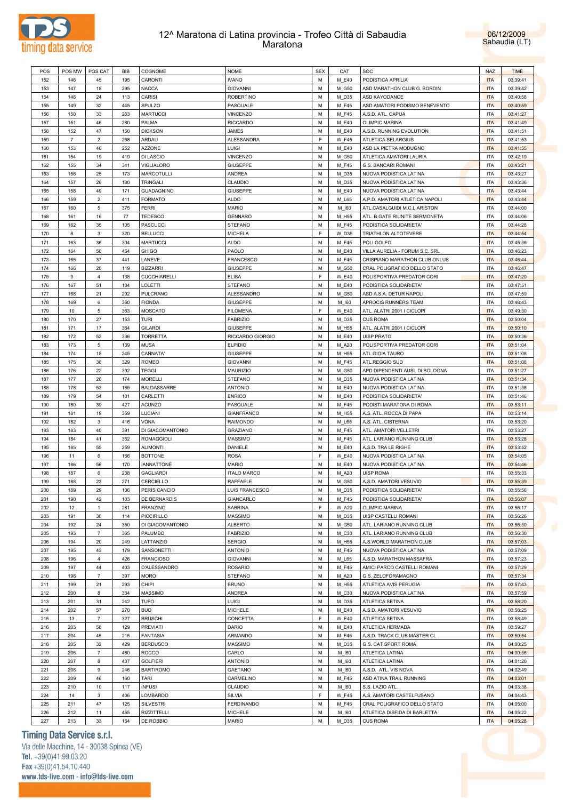



| POS | POS MW         | POS CAT                 | BIB | COGNOME                 | <b>NOME</b>        | <b>SEX</b> | CAT          | SOC                            | <b>NAZ</b> | <b>TIME</b> |
|-----|----------------|-------------------------|-----|-------------------------|--------------------|------------|--------------|--------------------------------|------------|-------------|
| 152 | 146            | 45                      | 195 | CARONTI                 | <b>IVANO</b>       | M          | M E40        | PODISTICA APRILIA              | <b>ITA</b> | 03:39:41    |
| 153 | 147            | 18                      | 295 | <b>NACCA</b>            | <b>GIOVANNI</b>    | M          | M_G50        | ASD MARATHON CLUB G. BORDIN    | <b>ITA</b> | 03:39:42    |
| 154 | 148            | 24                      | 113 | CARISI                  | <b>ROBERTINO</b>   | M          | M_D35        | <b>ASD KAYODANCE</b>           | <b>ITA</b> | 03:40:58    |
|     |                |                         |     |                         |                    |            |              |                                |            |             |
| 155 | 149            | 32                      | 445 | SPULZO                  | PASQUALE           | M          | M_F45        | ASD AMATORI PODISMO BENEVENTO  | <b>ITA</b> | 03:40:59    |
| 156 | 150            | 33                      | 263 | <b>MARTUCCI</b>         | VINCENZO           | M          | M_F45        | A.S.D. ATL. CAPUA              | <b>ITA</b> | 03:41:27    |
| 157 | 151            | 46                      | 280 | PALMA                   | <b>RICCARDO</b>    | M          | M_E40        | <b>OLIMPIC MARINA</b>          | <b>ITA</b> | 03:41:49    |
| 158 | 152            | 47                      | 150 | <b>DICKSON</b>          | <b>JAMES</b>       | M          | M_E40        | A.S.D. RUNNING EVOLUTION       | <b>ITA</b> | 03:41:51    |
| 159 | $\overline{7}$ | $\overline{2}$          | 268 | ARDAU                   | ALESSANDRA         | F          | <b>W_F45</b> | ATLETICA SELARGIUS             | <b>ITA</b> | 03:41:53    |
| 160 | 153            | 48                      | 252 | <b>AZZONE</b>           | LUIGI              | M          | M_E40        | ASD LA PIETRA MODUGNO          | <b>ITA</b> | 03:41:55    |
| 161 | 154            | 19                      | 419 | <b>DI LASCIO</b>        | <b>VINCENZO</b>    | M          | M_G50        | ATLETICA AMATORI LAURIA        | <b>ITA</b> | 03:42:19    |
| 162 | 155            | 34                      | 341 | <b>VIGLIALORO</b>       | <b>GIUSEPPE</b>    | M          | M_F45        | G.S. BANCARI ROMANI            | <b>ITA</b> | 03:43:21    |
| 163 | 156            | 25                      | 173 | <b>MARCOTULLI</b>       | ANDREA             | M          | M_D35        | NUOVA PODISTICA LATINA         | <b>ITA</b> | 03:43:27    |
| 164 | 157            | 26                      | 180 | TRINGALI                | CLAUDIO            | M          | M_D35        | NUOVA PODISTICA LATINA         | <b>ITA</b> | 03:43:36    |
|     |                |                         |     |                         |                    |            |              |                                |            |             |
| 165 | 158            | 49                      | 171 | <b>GUADAGNINO</b>       | <b>GIUSEPPE</b>    | M          | M_E40        | NUOVA PODISTICA LATINA         | <b>ITA</b> | 03:43:44    |
| 166 | 159            | $\overline{2}$          | 411 | <b>FORMATO</b>          | <b>ALDO</b>        | M          | M_L65        | A.P.D. AMATORI ATLETICA NAPOLI | <b>ITA</b> | 03:43:44    |
| 167 | 160            | 5                       | 375 | <b>FERRI</b>            | <b>MARIO</b>       | M          | M_I60        | ATL.CASALGUIDI M.C.L.ARISTON   | <b>ITA</b> | 03:44:00    |
| 168 | 161            | 16                      | 77  | <b>TEDESCO</b>          | <b>GENNARO</b>     | M          | M_H55        | ATL. B.GATE RIUNITE SERMONETA  | <b>ITA</b> | 03:44:06    |
| 169 | 162            | 35                      | 105 | <b>PASCUCCI</b>         | <b>STEFANO</b>     | M          | M_F45        | PODISTICA SOLIDARIETA'         | <b>ITA</b> | 03:44:28    |
| 170 | 8              | 3                       | 320 | <b>BELLUCCI</b>         | <b>MICHELA</b>     | F          | W_D35        | TRIATHLON ALTOTEVERE           | <b>ITA</b> | 03:44:54    |
| 171 | 163            | 36                      | 304 | <b>MARTUCCI</b>         | <b>ALDO</b>        | M          | M_F45        | POLI GOLFO                     | <b>ITA</b> | 03:45:36    |
| 172 | 164            | 50                      | 454 | <b>GHIGO</b>            | PAOLO              | M          | M_E40        | VILLA AURELIA - FORUM S.C. SRL | <b>ITA</b> | 03:46:23    |
|     | 165            | 37                      | 441 | LANEVE                  |                    | M          |              |                                | <b>ITA</b> |             |
| 173 |                |                         |     |                         | FRANCESCO          |            | M_F45        | CRISPIANO MARATHON CLUB ONLUS  |            | 03:46:44    |
| 174 | 166            | 20                      | 119 | <b>BIZZARRI</b>         | <b>GIUSEPPE</b>    | M          | M_G50        | CRAL POLIGRAFICO DELLO STATO   | <b>ITA</b> | 03:46:47    |
| 175 | 9              | $\overline{4}$          | 138 | CUCCHIARELLI            | <b>ELISA</b>       | F          | <b>W_E40</b> | POLISPORTIVA PREDATOR CORI     | <b>ITA</b> | 03:47:20    |
| 176 | 167            | 51                      | 104 | LOLETTI                 | <b>STEFANO</b>     | M          | M_E40        | PODISTICA SOLIDARIETA'         | <b>ITA</b> | 03:47:51    |
| 177 | 168            | 21                      | 292 | PULCRANO                | <b>ALESSANDRO</b>  | M          | M_G50        | ASD A.S.A. DETUR NAPOLI        | <b>ITA</b> | 03:47:59    |
| 178 | 169            | 6                       | 360 | <b>FIONDA</b>           | <b>GIUSEPPE</b>    | M          | M_I60        | APROCIS RUNNERS TEAM           | <b>ITA</b> | 03:48:43    |
| 179 | 10             | 5                       | 363 | <b>MOSCATO</b>          | <b>FILOMENA</b>    | F          | <b>W_E40</b> | ATL. ALATRI 2001 I CICLOPI     | <b>ITA</b> | 03:49:30    |
| 180 | 170            | 27                      | 153 | <b>TURI</b>             | <b>FABRIZIO</b>    | M          | M_D35        | <b>CUS ROMA</b>                | <b>ITA</b> | 03:50:04    |
| 181 | 171            | 17                      | 364 | <b>GILARDI</b>          | <b>GIUSEPPE</b>    | M          | M_H55        | ATL. ALATRI 2001 I CICLOPI     | <b>ITA</b> | 03:50:10    |
| 182 | 172            | 52                      | 336 | <b>TORRETTA</b>         | RICCARDO GIORGIO   | M          | M_E40        | <b>UISP PRATO</b>              | <b>ITA</b> | 03:50:36    |
| 183 | 173            | 5                       | 139 | <b>MUSA</b>             | <b>ELPIDIO</b>     | M          | M_A20        | POLISPORTIVA PREDATOR CORI     | <b>ITA</b> | 03:51:04    |
|     |                |                         |     |                         |                    |            |              |                                |            |             |
| 184 | 174            | 18                      | 245 | CANNATA'                | <b>GIUSEPPE</b>    | M          | M_H55        | ATL.GIOIA TAURO                | <b>ITA</b> | 03:51:08    |
| 185 | 175            | 38                      | 329 | <b>ROMEO</b>            | <b>GIOVANNI</b>    | M          | M_F45        | ATL.REGGIO SUD                 | <b>ITA</b> | 03:51:08    |
| 186 | 176            | 22                      | 392 | <b>TEGGI</b>            | MAURIZIO           | M          | M_G50        | APD DIPENDENTI AUSL DI BOLOGNA | <b>ITA</b> | 03:51:27    |
| 187 | 177            | 28                      | 174 | <b>MORELLI</b>          | <b>STEFANO</b>     | M          | M_D35        | NUOVA PODISTICA LATINA         | <b>ITA</b> | 03:51:34    |
| 188 | 178            | 53                      | 165 | <b>BALDASSARRE</b>      | <b>ANTONIO</b>     | M          | M_E40        | NUOVA PODISTICA LATINA         | <b>ITA</b> | 03:51:38    |
| 189 | 179            | 54                      | 101 | CARLETTI                | <b>ENRICO</b>      | M          | M_E40        | PODISTICA SOLIDARIETA'         | <b>ITA</b> | 03:51:46    |
| 190 | 180            | 39                      | 427 | <b>ACUNZO</b>           | PASQUALE           | M          | M_F45        | PODISTI MARATONA DI ROMA       | <b>ITA</b> | 03:53:11    |
| 191 | 181            | 19                      | 359 | LUCIANI                 | <b>GIANFRANCO</b>  | M          | M_H55        | A.S. ATL. ROCCA DI PAPA        | <b>ITA</b> | 03:53:14    |
| 192 | 182            | 3                       | 416 | <b>VONA</b>             | RAIMONDO           | M          | M_L65        | A.S. ATL. CISTERNA             | <b>ITA</b> | 03:53:20    |
|     |                |                         |     |                         |                    | M          |              |                                | <b>ITA</b> |             |
| 193 | 183            | 40                      | 391 | <b>DI GIACOMANTONIO</b> | <b>GRAZIANO</b>    |            | M_F45        | ATL. AMATORI VELLETRI          |            | 03:53:27    |
| 194 | 184            | 41                      | 352 | <b>ROMAGGIOLI</b>       | <b>MASSIMO</b>     | M          | M_F45        | ATL. LARIANO RUNNING CLUB      | <b>ITA</b> | 03:53:28    |
| 195 | 185            | 55                      | 259 | <b>ALIMONTI</b>         | DANIELE            | M          | M_E40        | A.S.D. TRA LE RIGHE            | <b>ITA</b> | 03:53:52    |
| 196 | 11             | 6                       | 166 | <b>BOTTONE</b>          | <b>ROSA</b>        | F          | <b>W E40</b> | NUOVA PODISTICA LATINA         | <b>ITA</b> | 03:54:05    |
| 197 | 186            | 56                      | 170 | <b>IANNATTONE</b>       | <b>MARIO</b>       | M          | M_E40        | NUOVA PODISTICA LATINA         | <b>ITA</b> | 03:54:46    |
| 198 | 187            | 6                       | 238 | <b>GAGLIARDI</b>        | <b>ITALO MARCO</b> | M          | M_A20        | <b>UISP ROMA</b>               | <b>ITA</b> | 03:55:33    |
| 199 | 188            | 23                      | 271 | CERCIELLO               | <b>RAFFAELE</b>    | M          | M_G50        | A.S.D. AMATORI VESUVIO         | <b>ITA</b> | 03:55:39    |
| 200 | 189            | 29                      | 106 | PERIS CANCIO            | LUIS FRANCESCO     | M          | M D35        | PODISTICA SOLIDARIETA'         | <b>ITA</b> | 03:55:56    |
| 201 | 190            | 42                      | 103 | <b>DE BERNARDIS</b>     | GIANCARLO          | М          | M_F45        | PODISTICA SOLIDARIETA'         | <b>ITA</b> | 03:56:07    |
| 202 | 12             | $\mathbf{1}$            | 281 | FRANZINO                | <b>SABRINA</b>     | F          | W_A20        | OLIMPIC MARINA                 | <b>ITA</b> | 03:56:17    |
|     |                |                         |     |                         |                    |            |              |                                |            |             |
| 203 | 191            | 30                      | 114 | PICCIRILLO              | MASSIMO            | M          | M_D35        | UISP CASTELLI ROMANI           | <b>ITA</b> | 03:56:26    |
| 204 | 192            | 24                      | 350 | DI GIACOMANTONIO        | <b>ALBERTO</b>     | M          | M_G50        | ATL. LARIANO RUNNING CLUB      | <b>ITA</b> | 03:56:30    |
| 205 | 193            | $\boldsymbol{7}$        | 365 | PALUMBO                 | <b>FABRIZIO</b>    | M          | M_C30        | ATL. LARIANO RUNNING CLUB      | <b>ITA</b> | 03:56:30    |
| 206 | 194            | 20                      | 249 | LATTANZIO               | <b>SERGIO</b>      | M          | M_H55        | A.S.WORLD MARATHON CLUB        | <b>ITA</b> | 03:57:03    |
| 207 | 195            | 43                      | 179 | SANSONETTI              | <b>ANTONIO</b>     | M          | M_F45        | NUOVA PODISTICA LATINA         | <b>ITA</b> | 03:57:09    |
| 208 | 196            | $\overline{4}$          | 426 | <b>FRANCIOSO</b>        | <b>GIOVANNI</b>    | M          | M_L65        | A.S.D. MARATHON MASSAFRA       | <b>ITA</b> | 03:57:23    |
| 209 | 197            | 44                      | 403 | D'ALESSANDRO            | <b>ROSARIO</b>     | M          | M_F45        | AMICI PARCO CASTELLI ROMANI    | <b>ITA</b> | 03:57:29    |
| 210 | 198            | $\overline{\mathbf{7}}$ | 397 | <b>MORO</b>             | <b>STEFANO</b>     | M          | M_A20        | G.S. ZELOFORAMAGNO             | <b>ITA</b> | 03:57:34    |
| 211 | 199            | 21                      | 293 | CHIPI                   | <b>BRUNO</b>       | M          | M_H55        | ATLETICA AVIS PERUGIA          | <b>ITA</b> | 03:57:43    |
|     |                |                         |     |                         |                    |            |              |                                |            |             |
| 212 | 200            | 8                       | 334 | <b>MASSIMO</b>          | ANDREA             | M          | M_C30        | NUOVA PODISTICA LATINA         | <b>ITA</b> | 03:57:59    |
| 213 | 201            | 31                      | 242 | <b>TUFO</b>             | LUIGI              | M          | M_D35        | ATLETICA SETINA                | <b>ITA</b> | 03:58:20    |
| 214 | 202            | 57                      | 270 | <b>BUO</b>              | <b>MICHELE</b>     | M          | M_E40        | A.S.D. AMATORI VESUVIO         | <b>ITA</b> | 03:58:25    |
| 215 | 13             | $\overline{\mathbf{7}}$ | 327 | <b>BRUSCHI</b>          | CONCETTA           | F          | W_E40        | ATLETICA SETINA                | <b>ITA</b> | 03:58:49    |
| 216 | 203            | 58                      | 129 | PREVIATI                | DARIO              | M          | M_E40        | ATLETICA HERMADA               | <b>ITA</b> | 03:59:27    |
| 217 | 204            | 45                      | 215 | <b>FANTASIA</b>         | ARMANDO            | M          | M_F45        | A.S.D. TRACK CLUB MASTER CL    | <b>ITA</b> | 03:59:54    |
| 218 | 205            | 32                      | 429 | <b>BERDUSCO</b>         | MASSIMO            | M          | M_D35        | G.S. CAT SPORT ROMA            | <b>ITA</b> | 04:00:25    |
| 219 | 206            | $\overline{\mathbf{7}}$ | 460 | <b>ROCCO</b>            | CARLO              | M          | M_I60        | ATLETICA LATINA                | <b>ITA</b> | 04:00:36    |
| 220 | 207            | 8                       | 437 | <b>GOLFIERI</b>         | <b>ANTONIO</b>     | M          | M_I60        | ATLETICA LATINA                | <b>ITA</b> | 04:01:20    |
|     |                |                         |     |                         |                    |            |              |                                |            |             |
| 221 | 208            | 9                       | 246 | <b>BARTIROMO</b>        | <b>GAETANO</b>     | M          | M_I60        | A.S.D. ATL. VIS NOVA           | <b>ITA</b> | 04:02:49    |
| 222 | 209            | 46                      | 160 | TARI                    | CARMELINO          | M          | M_F45        | ASD ATINA TRAIL RUNNING        | <b>ITA</b> | 04:03:01    |
| 223 | 210            | 10                      | 117 | <b>INFUSI</b>           | CLAUDIO            | M          | M_I60        | S.S. LAZIO ATL.                | <b>ITA</b> | 04:03:38    |
| 224 | 14             | $\mathbf{3}$            | 406 | LOMBARDO                | SILVIA             | F          | <b>W_F45</b> | A.S. AMATORI CASTELFUSANO      | <b>ITA</b> | 04:04:43    |
| 225 | 211            | 47                      | 125 | <b>SILVESTRI</b>        | <b>FERDINANDO</b>  | M          | M_F45        | CRAL POLIGRAFICO DELLO STATO   | <b>ITA</b> | 04:05:00    |
| 226 | 212            | 11                      | 455 | RIZZITTELLI             | <b>MICHELE</b>     | М          | M_I60        | ATLETICA DISFIDA DI BARLETTA   | <b>ITA</b> | 04:05:22    |
| 227 | 213            | 33                      | 154 | DE ROBBIO               | <b>MARIO</b>       | М          | M_D35        | <b>CUS ROMA</b>                | <b>ITA</b> | 04:05:28    |
|     |                |                         |     |                         |                    |            |              |                                |            |             |

# **Timing Data Service s.r.l.**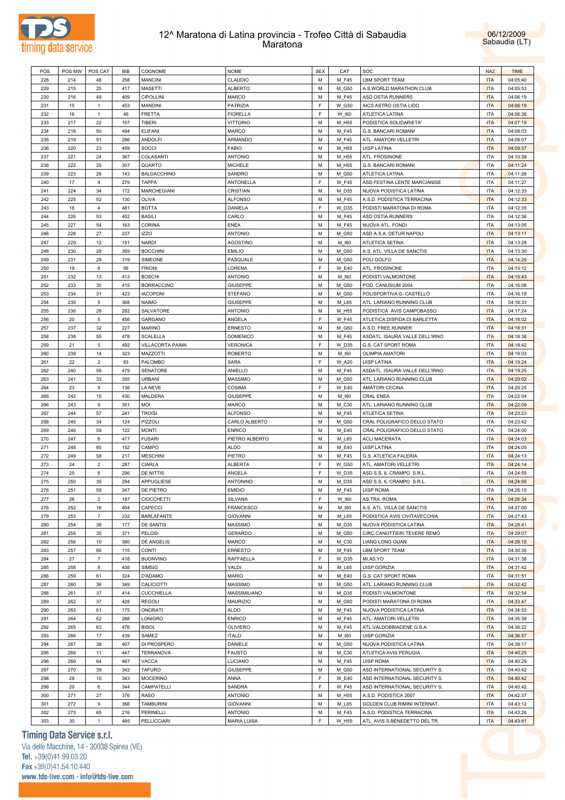



| POS | POS MW | POS CAT        | <b>BIB</b> | COGNOME            | <b>NOME</b>        | <b>SEX</b> | CAT          | SOC                            | <b>NAZ</b> | <b>TIME</b> |
|-----|--------|----------------|------------|--------------------|--------------------|------------|--------------|--------------------------------|------------|-------------|
| 228 | 214    | 48             | 258        | <b>MANCINI</b>     | CLAUDIO            | M          | M_F45        | <b>LBM SPORT TEAM</b>          | <b>ITA</b> | 04:05:40    |
| 229 | 215    | 25             | 417        | <b>MASETTI</b>     | ALBERTO            | M          | M_G50        | A.S.WORLD MARATHON CLUB        | <b>ITA</b> | 04:05:53    |
| 230 | 216    | 49             | 409        | CIPOLLINI          | MARCO              | M          | M_F45        | ASD OSTIA RUNNERS              | <b>ITA</b> | 04:06:19    |
| 231 | 15     | $\mathbf{1}$   | 453        | <b>MANDINI</b>     | PATRIZIA           | E          | W_G50        | AICS ASTRO OSTIA LIDO          | <b>ITA</b> | 04:06:19    |
|     |        |                |            |                    |                    | E          |              |                                |            |             |
| 232 | 16     | $\mathbf{1}$   | 46         | <b>FRETTA</b>      | <b>FIORELLA</b>    |            | W 160        | ATLETICA LATINA                | <b>ITA</b> | 04:06:36    |
| 233 | 217    | 22             | 107        | TIBERI             | <b>VITTORIO</b>    | M          | M_H55        | PODISTICA SOLIDARIETA'         | <b>ITA</b> | 04:07:19    |
| 234 | 218    | 50             | 494        | <b>ELIFANI</b>     | <b>MARCO</b>       | M          | M_F45        | <b>G.S. BANCARI ROMANI</b>     | <b>ITA</b> | 04:08:03    |
| 235 | 219    | 51             | 286        | <b>ANDOLFI</b>     | ARMANDO            | M          | M_F45        | ATL. AMATORI VELLETRI          | <b>ITA</b> | 04:08:07    |
| 236 | 220    | 23             | 459        | SOCCI              | <b>FABIO</b>       | M          | M_H55        | <b>UISP LATINA</b>             | <b>ITA</b> | 04:09:37    |
| 237 | 221    | 24             | 367        | COLASANTI          | <b>ANTONIO</b>     | M          | M_H55        | ATL. FROSINONE                 | <b>ITA</b> | 04:10:39    |
| 238 | 222    | 25             | 307        | QUARTO             | <b>MICHELE</b>     | M          | M_H55        | G.S. BANCARI ROMANI            | <b>ITA</b> | 04:11:24    |
| 239 | 223    | 26             | 143        | <b>BALDACCHINO</b> | SANDRO             | M          | M_G50        | ATLETICA LATINA                | <b>ITA</b> | 04:11:26    |
| 240 | 17     | $\overline{4}$ | 279        | <b>TAPPA</b>       | ANTONELLA          | F          | <b>W_F45</b> | ASD FESTINA LENTE MARCIANISE   | <b>ITA</b> | 04:11:27    |
|     |        |                |            |                    |                    |            |              |                                |            |             |
| 241 | 224    | 34             | 172        | <b>MARCHEGIANI</b> | CRISTIAN           | M          | M_D35        | NUOVA PODISTICA LATINA         | <b>ITA</b> | 04:12:33    |
| 242 | 225    | 52             | 130        | OLIVA              | <b>ALFONSO</b>     | M          | M_F45        | A.S.D. PODISTICA TERRACINA     | <b>ITA</b> | 04:12:33    |
| 243 | 18     | $\overline{4}$ | 481        | <b>BOTTA</b>       | DANIELA            | E          | W D35        | PODISTI MARATONA DI ROMA       | <b>ITA</b> | 04:12:35    |
| 244 | 226    | 53             | 452        | <b>BASILI</b>      | CARLO              | M          | M_F45        | ASD OSTIA RUNNERS              | <b>ITA</b> | 04:12:36    |
| 245 | 227    | 54             | 163        | <b>CORINA</b>      | <b>ENEA</b>        | M          | M_F45        | NUOVA ATL. FONDI               | <b>ITA</b> | 04:13:05    |
| 246 | 228    | 27             | 237        | <b>IZZO</b>        | <b>ANTONIO</b>     | M          | M G50        | ASD A.S.A. DETUR NAPOLI        | <b>ITA</b> | 04:13:11    |
| 247 | 229    | 12             | 191        | <b>NARDI</b>       | <b>AGOSTINO</b>    | M          | M_I60        | ATLETICA SETINA                | <b>ITA</b> | 04:13:28    |
| 248 | 230    | 28             | 369        | <b>BOCCHINI</b>    | <b>EMILIO</b>      | M          | M_G50        | A.S. ATL. VILLA DE SANCTIS     | <b>ITA</b> | 04:13:30    |
| 249 | 231    | 29             | 319        | SIMEONE            | PASQUALE           | M          | M_G50        | POLI GOLFO                     | <b>ITA</b> | 04:14:29    |
|     |        |                |            |                    |                    | F          |              |                                |            |             |
| 250 | 19     | 8              | 56         | <b>FRIONI</b>      | LORENA             |            | <b>W_E40</b> | ATL. FROSINONE                 | <b>ITA</b> | 04:15:12    |
| 251 | 232    | 13             | 413        | <b>BOSCHI</b>      | <b>ANTONIO</b>     | M          | M_I60        | PODISTI VALMONTONE             | <b>ITA</b> | 04:15:43    |
| 252 | 233    | 30             | 415        | <b>BORRACCINO</b>  | <b>GIUSEPPE</b>    | M          | M_G50        | POD. CANUSIUM 2004             | <b>ITA</b> | 04:16:08    |
| 253 | 234    | 31             | 423        | <b>IACOPONI</b>    | <b>STEFANO</b>     | M          | M_G50        | POLISPORTIVA G. CASTELLO       | <b>ITA</b> | 04:16:18    |
| 254 | 235    | 5              | 368        | <b>NAIMO</b>       | <b>GIUSEPPE</b>    | M          | M_L65        | ATL. LARIANO RUNNING CLUB      | <b>ITA</b> | 04:16:33    |
| 255 | 236    | 26             | 282        | SALVATORE          | <b>ANTONIO</b>     | M          | M_H55        | PODISTICA AVIS CAMPOBASSO      | <b>ITA</b> | 04:17:24    |
| 256 | 20     | $\overline{5}$ | 456        | GARGANO            | ANGELA             | E          | <b>W_F45</b> | ATLETICA DISFIDA DI BARLETTA   | <b>ITA</b> | 04:18:02    |
| 257 | 237    | 32             | 227        | <b>MARINO</b>      | <b>ERNESTO</b>     | M          | M G50        | A.S.D. FREE RUNNER             | <b>ITA</b> | 04:18:31    |
| 258 | 238    | 55             | 478        | <b>SCALELLA</b>    | <b>DOMENICO</b>    | M          | M_F45        | ASDATL. ISAURA VALLE DELL'IRNO | <b>ITA</b> | 04:18:36    |
|     |        | $\,$ 5 $\,$    | 492        |                    |                    | F          |              |                                | <b>ITA</b> |             |
| 259 | 21     |                |            | VILLACORTA PAIMA   | VERONICA           |            | W_D35        | G.S. CAT SPORT ROMA            |            | 04:18:42    |
| 260 | 239    | 14             | 323        | MAZZOTTI           | <b>ROBERTO</b>     | M          | M_I60        | <b>OLIMPIA AMATORI</b>         | <b>ITA</b> | 04:19:03    |
| 261 | 22     | $\overline{2}$ | 83         | PALOMBO            | <b>SARA</b>        | E          | W_A20        | <b>UISP LATINA</b>             | <b>ITA</b> | 04:19:24    |
| 262 | 240    | 56             | 479        | SENATORE           | ANIELLO            | M          | M_F45        | ASDATL. ISAURA VALLE DELL'IRNO | <b>ITA</b> | 04:19:25    |
| 263 | 241    | 33             | 355        | <b>URBANI</b>      | <b>MASSIMO</b>     | M          | M_G50        | ATL. LARIANO RUNNING CLUB      | <b>ITA</b> | 04:20:02    |
| 264 | 23     | 9              | 136        | <b>LA NEVE</b>     | COSIMA             | F          | <b>W_E40</b> | AMATORI CECINA                 | <b>ITA</b> | 04:20:25    |
| 265 | 242    | 15             | 430        | <b>MALDERA</b>     | <b>GIUSEPPE</b>    | M          | M_I60        | <b>CRAL ENEA</b>               | <b>ITA</b> | 04:22:04    |
| 266 | 243    | 9              | 351        | MOI                | <b>MARCO</b>       | M          | M_C30        | ATL. LARIANO RUNNING CLUB      | <b>ITA</b> | 04:22:09    |
| 267 | 244    | 57             | 241        | <b>TROISI</b>      | <b>ALFONSO</b>     | M          | M_F45        | ATLETICA SETINA                | <b>ITA</b> | 04:23:23    |
| 268 | 245    | 34             | 124        | PIZZOLI            | CARLO ALBERTO      | M          | M_G50        | CRAL POLIGRAFICO DELLO STATO   | <b>ITA</b> | 04:23:42    |
|     |        |                |            |                    |                    |            |              |                                |            |             |
| 269 | 246    | 59             | 122        | <b>MONTI</b>       | <b>ENRICO</b>      | M          | M_E40        | CRAL POLIGRAFICO DELLO STATO   | <b>ITA</b> | 04:24:00    |
| 270 | 247    | 6              | 477        | <b>FUSARI</b>      | PIETRO ALBERTO     | M          | M_L65        | <b>ACLI MACERATA</b>           | <b>ITA</b> | 04:24:03    |
| 271 | 248    | 60             | 152        | CAMPO              | <b>ALDO</b>        | M          | M_E40        | <b>UISP LATINA</b>             | <b>ITA</b> | 04:24:05    |
| 272 | 249    | 58             | 217        | <b>MESCHINI</b>    | PIETRO             | M          | M_F45        | <b>G.S. ATLETICA FALERIA</b>   | <b>ITA</b> | 04:24:13    |
| 273 | 24     | $\overline{2}$ | 287        | <b>CIARLA</b>      | ALBERTA            | E          | W_G50        | ATL. AMATORI VELLETRI          | <b>ITA</b> | 04:24:14    |
| 274 | 25     | 6              | 296        | <b>DE NITTIS</b>   | ANGELA             | F          | W_D35        | ASD S.S. IL CRAMPO S.R.L.      | <b>ITA</b> | 04:24:55    |
| 275 | 250    | 35             | 294        | APPUGLIESE         | <b>ANTONINO</b>    | M          | M D35        | ASD S.S. IL CRAMPO S.R.L.      | <b>ITA</b> | 04:24:56    |
| 276 | 251    | 59             | 347        | <b>DE PIETRO</b>   | <b>EMIDIO</b>      | M          | M F45        | <b>UISP ROMA</b>               | <b>ITA</b> | 04:26:10    |
| 277 | 26     | $\overline{2}$ | 187        | <b>CIOCCHETTI</b>  | SILVANA            | F          | W_I60        | AS.TRA. ROMA                   | <b>ITA</b> | 04:26:34    |
|     |        |                |            |                    |                    |            |              |                                |            |             |
| 278 | 252    | 16             | 404        | CAPECCI            | FRANCESCO          | M          | M_I60        | A.S. ATL. VILLA DE SANCTIS     | <b>ITA</b> | 04:27:00    |
| 279 | 253    | $\overline{7}$ | 232        | <b>BARLAFANTE</b>  | <b>GIOVANNI</b>    | M          | M_L65        | PODISTICA AVIS CIVITAVECCHIA   | <b>ITA</b> | 04:27:43    |
| 280 | 254    | 36             | 177        | DE SANTIS          | MASSIMO            | M          | M_D35        | NUOVA PODISTICA LATINA         | <b>ITA</b> | 04:28:41    |
| 281 | 255    | 35             | 371        | PELOSI             | <b>GERARDO</b>     | M          | M_G50        | CIRC.CANOTTIERI TEVERE REMO    | <b>ITA</b> | 04:29:07    |
| 282 | 256    | 10             | 380        | DE ANGELIS         | MARCO              | M          | M_C30        | <b>LIANG LONG GUAN</b>         | <b>ITA</b> | 04:29:18    |
| 283 | 257    | 60             | 115        | CONTI              | <b>ERNESTO</b>     | M          | M_F45        | LBM SPORT TEAM                 | <b>ITA</b> | 04:30:35    |
| 284 | 27     | $\overline{7}$ | 418        | <b>BUONVINO</b>    | RAFFAELLA          | F.         | W_D35        | MI.AS.YO                       | <b>ITA</b> | 04:31:38    |
| 285 | 258    | 8              | 438        | <b>SIMSIG</b>      | VALDI              | M          | M_L65        | <b>UISP GORIZIA</b>            | <b>ITA</b> | 04:31:42    |
| 286 | 259    | 61             | 324        | D'ADAMO            | <b>MARIO</b>       | M          | M_E40        | G.S. CAT SPORT ROMA            | <b>ITA</b> | 04:31:51    |
| 287 | 260    | 36             | 349        | CALICIOTTI         | <b>MASSIMO</b>     | M          | M_G50        | ATL. LARIANO RUNNING CLUB      | <b>ITA</b> | 04:32:42    |
|     |        |                |            |                    |                    |            |              |                                |            |             |
| 288 | 261    | 37             | 414        | <b>CUCCHIELLA</b>  | MASSIMILIANO       | M          | M_D35        | PODISTI VALMONTONE             | <b>ITA</b> | 04:32:54    |
| 289 | 262    | 37             | 428        | <b>REGOLI</b>      | MAURIZIO           | M          | M_G50        | PODISTI MARATONA DI ROMA       | <b>ITA</b> | 04:33:47    |
| 290 | 263    | 61             | 175        | ONORATI            | ALDO               | M          | M_F45        | NUOVA PODISTICA LATINA         | <b>ITA</b> | 04:34:53    |
| 291 | 264    | 62             | 288        | LONIGRO            | <b>ENRICO</b>      | M          | M_F45        | ATL. AMATORI VELLETRI          | <b>ITA</b> | 04:35:39    |
| 292 | 265    | 63             | 476        | <b>BISOL</b>       | <b>OLIVIERO</b>    | M          | M_F45        | ATL.VALDOBBIADENE G.S.A.       | <b>ITA</b> | 04:36:22    |
| 293 | 266    | 17             | 439        | SAMEZ              | <b>ITALO</b>       | M          | M_I60        | <b>UISP GORIZIA</b>            | <b>ITA</b> | 04:36:57    |
| 294 | 267    | 38             | 407        | DI PROSPERO        | DANIELE            | М          | M_G50        | NUOVA PODISTICA LATINA         | <b>ITA</b> | 04:39:17    |
| 295 | 268    | 11             | 447        | <b>TERRANOVA</b>   | <b>FAUSTO</b>      | M          | M_C30        | ATLETICA AVIS PERUGIA          | <b>ITA</b> | 04:40:25    |
|     |        |                |            |                    |                    |            |              |                                |            |             |
| 296 | 269    | 64             | 467        | VACCA              | LUCIANO            | M          | M_F45        | <b>UISP ROMA</b>               | <b>ITA</b> | 04:40:29    |
| 297 | 270    | 39             | 342        | <b>TAFURO</b>      | <b>GIUSEPPE</b>    | M          | M_G50        | ASD INTERNATIONAL SECURITY S.  | <b>ITA</b> | 04:40:42    |
| 298 | 28     | 10             | 343        | <b>MOCERINO</b>    | ANNA               | F          | W_E40        | ASD INTERNATIONAL SECURITY S.  | <b>ITA</b> | 04:40:42    |
| 299 | 29     | 6              | 344        | CAMPATELLI         | SANDRA             | F          | <b>W_F45</b> | ASD INTERNATIONAL SECURITY S.  | ITA        | 04:40:42    |
| 300 | 271    | 27             | 376        | <b>RASO</b>        | <b>ANTONIO</b>     | M          | M_H55        | A.S.D. PODISTICA 2007          | <b>ITA</b> | 04:42:37    |
| 301 | 272    | 9              | 366        | <b>TAMBURINI</b>   | <b>GIOVANNI</b>    | M          | M_L65        | GOLDEN CLUB RIMINI INTERNAT.   | <b>ITA</b> | 04:43:12    |
| 302 | 273    | 65             | 216        | PERINELLI          | <b>ANTONIO</b>     | М          | M_F45        | A.S.D. PODISTICA TERRACINA     | <b>ITA</b> | 04:43:26    |
|     |        |                | 465        | PELLICCIARI        | <b>MARIA LUISA</b> | F          | W_H55        | ATL. AVIS S.BENEDETTO DEL TR.  | <b>ITA</b> | 04:43:41    |
| 303 | 30     | $\mathbf{1}$   |            |                    |                    |            |              |                                |            |             |

# **Timing Data Service s.r.l.**